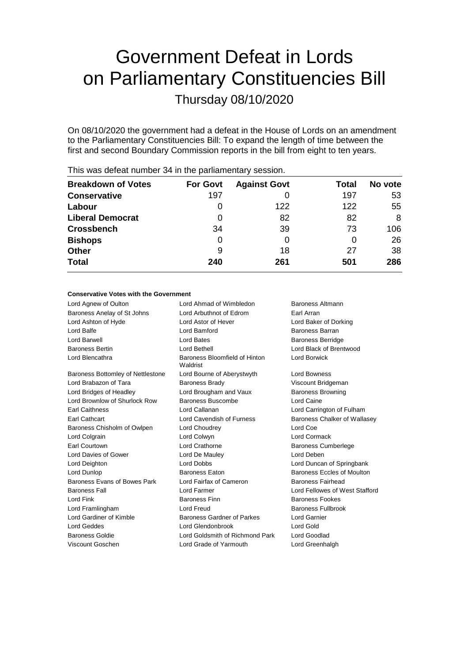# Government Defeat in Lords on Parliamentary Constituencies Bill

Thursday 08/10/2020

On 08/10/2020 the government had a defeat in the House of Lords on an amendment to the Parliamentary Constituencies Bill: To expand the length of time between the first and second Boundary Commission reports in the bill from eight to ten years.

| <b>Breakdown of Votes</b> | <b>For Govt</b> | <b>Against Govt</b> | Total | No vote |  |
|---------------------------|-----------------|---------------------|-------|---------|--|
| <b>Conservative</b>       | 197             |                     | 197   | 53      |  |
| Labour                    | O               | 122                 | 122   | 55      |  |
| <b>Liberal Democrat</b>   | 0               | 82                  | 82    | 8       |  |
| <b>Crossbench</b>         | 34              | 39                  | 73    | 106     |  |
| <b>Bishops</b>            | 0               | 0                   | 0     | 26      |  |
| <b>Other</b>              | 9               | 18                  | 27    | 38      |  |
| <b>Total</b>              | 240             | 261                 | 501   | 286     |  |
|                           |                 |                     |       |         |  |

This was defeat number 34 in the parliamentary session.

## **Conservative Votes with the Government**

| Lord Agnew of Oulton              | Lord Ahmad of Wimbledon<br>Baroness Altmann |                                |
|-----------------------------------|---------------------------------------------|--------------------------------|
| Baroness Anelay of St Johns       | Lord Arbuthnot of Edrom                     | Earl Arran                     |
| Lord Ashton of Hyde               | Lord Astor of Hever                         | Lord Baker of Dorking          |
| Lord Balfe                        | Lord Bamford                                | Baroness Barran                |
| Lord Barwell                      | Lord Bates                                  | <b>Baroness Berridge</b>       |
| <b>Baroness Bertin</b>            | Lord Bethell                                | Lord Black of Brentwood        |
| Lord Blencathra                   | Baroness Bloomfield of Hinton<br>Waldrist   | Lord Borwick                   |
| Baroness Bottomley of Nettlestone | Lord Bourne of Aberystwyth                  | <b>Lord Bowness</b>            |
| Lord Brabazon of Tara             | <b>Baroness Brady</b>                       | Viscount Bridgeman             |
| Lord Bridges of Headley           | Lord Brougham and Vaux                      | <b>Baroness Browning</b>       |
| Lord Brownlow of Shurlock Row     | Baroness Buscombe                           | Lord Caine                     |
| <b>Earl Caithness</b>             | Lord Callanan                               | Lord Carrington of Fulham      |
| <b>Earl Cathcart</b>              | Lord Cavendish of Furness                   | Baroness Chalker of Wallasey   |
| Baroness Chisholm of Owlpen       | Lord Choudrey                               | Lord Coe                       |
| Lord Colgrain                     | Lord Colwyn                                 | <b>Lord Cormack</b>            |
| <b>Earl Courtown</b>              | Lord Crathorne                              | <b>Baroness Cumberlege</b>     |
| Lord Davies of Gower              | Lord De Mauley                              | Lord Deben                     |
| Lord Deighton                     | <b>Lord Dobbs</b>                           | Lord Duncan of Springbank      |
| Lord Dunlop                       | <b>Baroness Eaton</b>                       | Baroness Eccles of Moulton     |
| Baroness Evans of Bowes Park      | Lord Fairfax of Cameron                     | Baroness Fairhead              |
| <b>Baroness Fall</b>              | Lord Farmer                                 | Lord Fellowes of West Stafford |
| Lord Fink                         | <b>Baroness Finn</b>                        | <b>Baroness Fookes</b>         |
| Lord Framlingham                  | Lord Freud                                  | <b>Baroness Fullbrook</b>      |
| Lord Gardiner of Kimble           | Baroness Gardner of Parkes<br>Lord Garnier  |                                |
| Lord Geddes                       | Lord Glendonbrook<br>Lord Gold              |                                |
| <b>Baroness Goldie</b>            | Lord Goldsmith of Richmond Park             | <b>Lord Goodlad</b>            |
| Viscount Goschen                  | Lord Grade of Yarmouth                      | Lord Greenhalgh                |
|                                   |                                             |                                |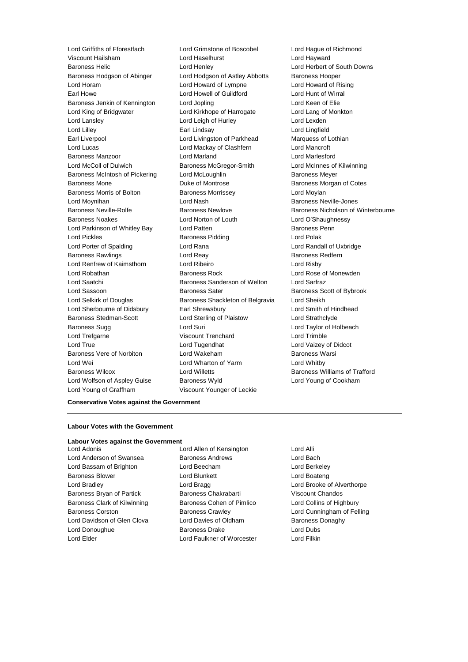Viscount Hailsham Lord Haselhurst Lord Hayward Baroness Helic Lord Henley Lord Herbert of South Downs Baroness Hodgson of Abinger Lord Hodgson of Astley Abbotts Baroness Hooper Lord Horam Lord Howard of Lympne Lord Howard of Rising Earl Howe Lord Howell of Guildford Cord Hunt of Wirral<br>
Baroness Jenkin of Kennington Lord Jopling Cord Lord Keen of Elie Baroness Jenkin of Kennington Lord Jopling Lord Keen of Elie Lord King of Bridgwater Lord Kirkhope of Harrogate Lord Lang of Monkton Lord Lansley Lord Leigh of Hurley Lord Lexden Lord Lilley Earl Lindsay Lord Lingfield Earl Liverpool **Lord Livingston of Parkhead** Marquess of Lothian Lord Lucas Lord Mackay of Clashfern Lord Mancroft Baroness Manzoor Lord Marland Lord Marlesford Lord McColl of Dulwich Baroness McGregor-Smith Lord McInnes of Kilwinning Baroness McIntosh of Pickering Lord McLoughlin Baroness Meyer Baroness Mone Duke of Montrose Baroness Morgan of Cotes Baroness Morris of Bolton **Baroness Morrissey Lord Moylan** Lord Moynihan **Lord Nash Baroness Neville-Jones** Lord Nash Baroness Neville-Jones Baroness Noakes Lord Norton of Louth Lord O'Shaughnessy Lord Parkinson of Whitley Bay **Lord Patten Baroness Penn** Lord Pickles **Baroness Pidding Lord Polak** Lord Porter of Spalding Lord Rana Lord Randall of Uxbridge Baroness Rawlings **Lord Reay Lord Reay Baroness Redfern** Lord Renfrew of Kaimsthorn Lord Ribeiro Lord Risby Lord Robathan Baroness Rock Lord Rose of Monewden Lord Saatchi Baroness Sanderson of Welton Lord Sarfraz Lord Sassoon **Baroness Sater** Baroness Sater Baroness Scott of Bybrook Lord Selkirk of Douglas Baroness Shackleton of Belgravia Lord Sheikh Lord Sherbourne of Didsbury Earl Shrewsbury Lord Smith of Hindhead Baroness Stedman-Scott Lord Sterling of Plaistow Lord Strathclyde Baroness Sugg **Lord Suri Lord Suri Lord Taylor of Holbeach** Lord Trefgarne Viscount Trenchard Lord Trimble Lord True Lord Tugendhat Lord Vaizey of Didcot Baroness Vere of Norbiton Lord Wakeham Baroness Warsi Lord Wei Lord Wharton of Yarm Lord Whitby Baroness Wilcox Lord Willetts Baroness Williams of Trafford Lord Wolfson of Aspley Guise Baroness Wyld Lord Young of Cookham

Lord Griffiths of Fforestfach Lord Grimstone of Boscobel Lord Hague of Richmond Lord Young of Graffham Viscount Younger of Leckie

Baroness Neville-Rolfe **Baroness Newlove** Baroness Newlove **Baroness Nicholson of Winterbourne** 

#### **Conservative Votes against the Government**

### **Labour Votes with the Government**

#### **Labour Votes against the Government**

Lord Anderson of Swansea Baroness Andrews Baroness Andrews Lord Bach Lord Bassam of Brighton Lord Beecham Lord Berkeley Baroness Blower **Lord Blunkett** Lord Boateng Lord Boateng Lord Bradley Lord Bragg Lord Brooke of Alverthorpe Baroness Bryan of Partick Baroness Chakrabarti Viscount Chandos Baroness Clark of Kilwinning Baroness Cohen of Pimlico Lord Collins of Highbury Baroness Corston Baroness Crawley Lord Cunningham of Felling Lord Davidson of Glen Clova **Lord Davies of Oldham** Baroness Donaghy Lord Donoughue **Baroness Drake** Lord Dubs Lord Elder Lord Faulkner of Worcester Lord Filkin

Lord Adonis Lord Allen of Kensington Lord Alli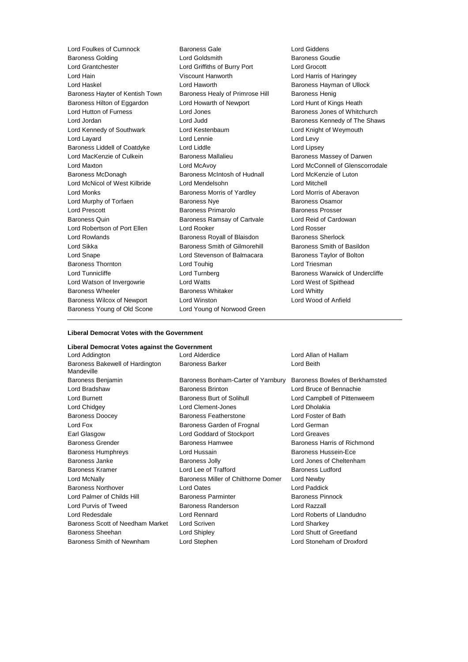Lord Foulkes of Cumnock and Baroness Gale Cord Giddens<br>
Baroness Golding Cord Coldsmith Cord Goldsmith Charoness Goudie Baroness Golding Lord Grantchester Lord Griffiths of Burry Port Lord Grocott Lord Hain **Markor Communist Constructs** Viscount Hanworth **Lord Harris of Haringey** Lord Haskel **Lord Haworth Baroness Hayman of Ullock** Baroness Hayter of Kentish Town Baroness Healy of Primrose Hill Baroness Henig Baroness Hilton of Eggardon Lord Howarth of Newport Lord Hunt of Kings Heath Lord Hutton of Furness **Lord Jones** Lord Hutton of Furness Jones **Baroness** Jones of Whitchurch Lord Jordan **Lord Judd** Baroness Kennedy of The Shaws Lord Kennedy of Southwark Lord Kestenbaum Lord Knight of Weymouth Lord Layard **Lord Lennie** Lord Lennie **Lord Levy** Baroness Liddell of Coatdyke Lord Liddle Lord Linsey Lord MacKenzie of Culkein **Baroness Mallalieu** Baroness Massey of Darwen Lord Maxton Lord McAvoy Lord McConnell of Glenscorrodale Baroness McDonagh Baroness McIntosh of Hudnall Lord McKenzie of Luton Lord McNicol of West Kilbride Lord Mendelsohn Lord Mitchell Lord Monks Baroness Morris of Yardley Lord Morris of Aberavon Lord Murphy of Torfaen **Baroness Nye** Baroness Osamor Lord Prescott Baroness Primarolo Baroness Prosser Baroness Quin **Baroness Ramsay of Cartvale** Lord Reid of Cardowan Lord Robertson of Port Ellen Lord Rooker Lord Rosser Lord Rowlands **Baroness Royall of Blaisdon** Baroness Sherlock Lord Sikka **Baroness Smith of Gilmorehill** Baroness Smith of Basildon Lord Snape Lord Stevenson of Balmacara Baroness Taylor of Bolton Baroness Thornton **Lord Touhig** Lord Touhig Lord Triesman Lord Tunnicliffe **Lord Turnberg** Lord Turnberg Baroness Warwick of Undercliffe Lord Watson of Invergowrie Lord Watts Lord West of Spithead Baroness Wheeler **Baroness Whitaker** Lord Whitty Baroness Wilcox of Newport Lord Winston Lord Wood of Anfield Baroness Young of Old Scone Lord Young of Norwood Green

#### **Liberal Democrat Votes with the Government**

#### **Liberal Democrat Votes against the Government**

| Lord Addington                                | Lord Alderdice                      | Lord Allan of Hallam           |  |
|-----------------------------------------------|-------------------------------------|--------------------------------|--|
| Baroness Bakewell of Hardington<br>Mandeville | <b>Baroness Barker</b>              | Lord Beith                     |  |
| Baroness Benjamin                             | Baroness Bonham-Carter of Yarnbury  | Baroness Bowles of Berkhamsted |  |
| Lord Bradshaw                                 | <b>Baroness Brinton</b>             | Lord Bruce of Bennachie        |  |
| Lord Burnett                                  | Baroness Burt of Solihull           | Lord Campbell of Pittenweem    |  |
| Lord Chidgey                                  | Lord Clement-Jones                  | Lord Dholakia                  |  |
| <b>Baroness Doocey</b>                        | <b>Baroness Featherstone</b>        | Lord Foster of Bath            |  |
| Lord Fox                                      | Baroness Garden of Frognal          | Lord German                    |  |
| Earl Glasgow                                  | Lord Goddard of Stockport           | Lord Greaves                   |  |
| <b>Baroness Grender</b>                       | <b>Baroness Hamwee</b>              | Baroness Harris of Richmond    |  |
| <b>Baroness Humphreys</b>                     | Lord Hussain                        | Baroness Hussein-Ece           |  |
| Baroness Janke                                | <b>Baroness Jolly</b>               | Lord Jones of Cheltenham       |  |
| <b>Baroness Kramer</b>                        | Lord Lee of Trafford                | <b>Baroness Ludford</b>        |  |
| Lord McNally                                  | Baroness Miller of Chilthorne Domer | Lord Newby                     |  |
| <b>Baroness Northover</b>                     | <b>Lord Oates</b>                   | Lord Paddick                   |  |
| Lord Palmer of Childs Hill                    | <b>Baroness Parminter</b>           | <b>Baroness Pinnock</b>        |  |
| Lord Purvis of Tweed                          | Baroness Randerson                  | Lord Razzall                   |  |
| Lord Redesdale                                | Lord Rennard                        | Lord Roberts of Llandudno      |  |
| Baroness Scott of Needham Market              | Lord Scriven                        | Lord Sharkey                   |  |
| <b>Baroness Sheehan</b>                       | Lord Shipley                        | Lord Shutt of Greetland        |  |
| Baroness Smith of Newnham                     | Lord Stephen                        | Lord Stoneham of Droxford      |  |